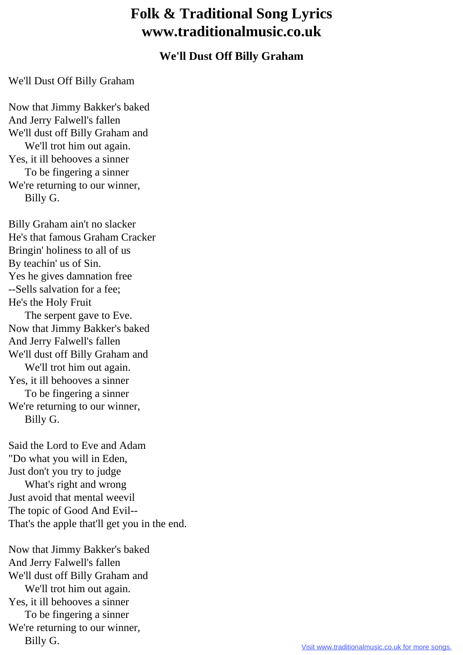## **Folk & Traditional Song Lyrics www.traditionalmusic.co.uk**

## **We'll Dust Off Billy Graham**

## We'll Dust Off Billy Graham

Now that Jimmy Bakker's baked And Jerry Falwell's fallen We'll dust off Billy Graham and We'll trot him out again. Yes, it ill behooves a sinner To be fingering a sinner We're returning to our winner, Billy G.

Billy Graham ain't no slacker He's that famous Graham Cracker Bringin' holiness to all of us By teachin' us of Sin. Yes he gives damnation free --Sells salvation for a fee; He's the Holy Fruit The serpent gave to Eve. Now that Jimmy Bakker's baked And Jerry Falwell's fallen We'll dust off Billy Graham and We'll trot him out again. Yes, it ill behooves a sinner To be fingering a sinner We're returning to our winner, Billy G.

Said the Lord to Eve and Adam "Do what you will in Eden, Just don't you try to judge What's right and wrong Just avoid that mental weevil The topic of Good And Evil-- That's the apple that'll get you in the end.

Now that Jimmy Bakker's baked And Jerry Falwell's fallen We'll dust off Billy Graham and We'll trot him out again. Yes, it ill behooves a sinner To be fingering a sinner We're returning to our winner, Billy G.